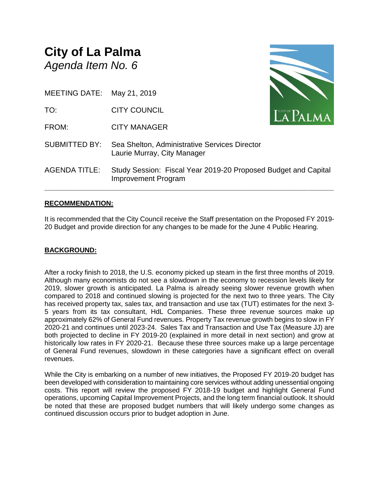# **City of La Palma** *Agenda Item No. 6*

MEETING DATE: May 21, 2019

TO: CITY COUNCIL

FROM: CITY MANAGER

SUBMITTED BY: Sea Shelton, Administrative Services Director Laurie Murray, City Manager



**\_\_\_\_\_\_\_\_\_\_\_\_\_\_\_\_\_\_\_\_\_\_\_\_\_\_\_\_\_\_\_\_\_\_\_\_\_\_\_\_\_\_\_\_\_\_\_\_\_\_\_\_\_\_\_\_\_\_\_\_\_\_\_\_\_\_\_\_\_\_**

# **RECOMMENDATION:**

It is recommended that the City Council receive the Staff presentation on the Proposed FY 2019- 20 Budget and provide direction for any changes to be made for the June 4 Public Hearing.

#### **BACKGROUND:**

After a rocky finish to 2018, the U.S. economy picked up steam in the first three months of 2019. Although many economists do not see a slowdown in the economy to recession levels likely for 2019, slower growth is anticipated. La Palma is already seeing slower revenue growth when compared to 2018 and continued slowing is projected for the next two to three years. The City has received property tax, sales tax, and transaction and use tax (TUT) estimates for the next 3- 5 years from its tax consultant, HdL Companies. These three revenue sources make up approximately 62% of General Fund revenues. Property Tax revenue growth begins to slow in FY 2020-21 and continues until 2023-24. Sales Tax and Transaction and Use Tax (Measure JJ) are both projected to decline in FY 2019-20 (explained in more detail in next section) and grow at historically low rates in FY 2020-21. Because these three sources make up a large percentage of General Fund revenues, slowdown in these categories have a significant effect on overall revenues.

While the City is embarking on a number of new initiatives, the Proposed FY 2019-20 budget has been developed with consideration to maintaining core services without adding unessential ongoing costs. This report will review the proposed FY 2018-19 budget and highlight General Fund operations, upcoming Capital Improvement Projects, and the long term financial outlook. It should be noted that these are proposed budget numbers that will likely undergo some changes as continued discussion occurs prior to budget adoption in June.

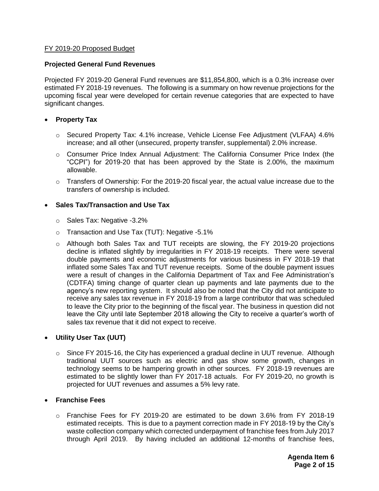#### FY 2019-20 Proposed Budget

#### **Projected General Fund Revenues**

Projected FY 2019-20 General Fund revenues are \$11,854,800, which is a 0.3% increase over estimated FY 2018-19 revenues. The following is a summary on how revenue projections for the upcoming fiscal year were developed for certain revenue categories that are expected to have significant changes.

#### **Property Tax**

- o Secured Property Tax: 4.1% increase, Vehicle License Fee Adjustment (VLFAA) 4.6% increase; and all other (unsecured, property transfer, supplemental) 2.0% increase.
- o Consumer Price Index Annual Adjustment: The California Consumer Price Index (the "CCPI") for 2019-20 that has been approved by the State is 2.00%, the maximum allowable.
- $\circ$  Transfers of Ownership: For the 2019-20 fiscal year, the actual value increase due to the transfers of ownership is included.

#### **Sales Tax/Transaction and Use Tax**

- o Sales Tax: Negative -3.2%
- o Transaction and Use Tax (TUT): Negative -5.1%
- o Although both Sales Tax and TUT receipts are slowing, the FY 2019-20 projections decline is inflated slightly by irregularities in FY 2018-19 receipts. There were several double payments and economic adjustments for various business in FY 2018-19 that inflated some Sales Tax and TUT revenue receipts. Some of the double payment issues were a result of changes in the California Department of Tax and Fee Administration's (CDTFA) timing change of quarter clean up payments and late payments due to the agency's new reporting system. It should also be noted that the City did not anticipate to receive any sales tax revenue in FY 2018-19 from a large contributor that was scheduled to leave the City prior to the beginning of the fiscal year. The business in question did not leave the City until late September 2018 allowing the City to receive a quarter's worth of sales tax revenue that it did not expect to receive.

#### **Utility User Tax (UUT)**

 $\circ$  Since FY 2015-16, the City has experienced a gradual decline in UUT revenue. Although traditional UUT sources such as electric and gas show some growth, changes in technology seems to be hampering growth in other sources. FY 2018-19 revenues are estimated to be slightly lower than FY 2017-18 actuals. For FY 2019-20, no growth is projected for UUT revenues and assumes a 5% levy rate.

#### **Franchise Fees**

o Franchise Fees for FY 2019-20 are estimated to be down 3.6% from FY 2018-19 estimated receipts. This is due to a payment correction made in FY 2018-19 by the City's waste collection company which corrected underpayment of franchise fees from July 2017 through April 2019. By having included an additional 12-months of franchise fees,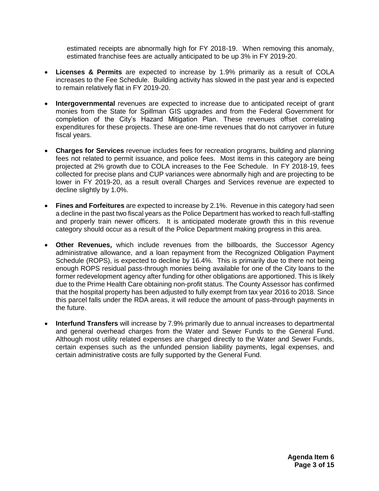estimated receipts are abnormally high for FY 2018-19. When removing this anomaly, estimated franchise fees are actually anticipated to be up 3% in FY 2019-20.

- **Licenses & Permits** are expected to increase by 1.9% primarily as a result of COLA increases to the Fee Schedule. Building activity has slowed in the past year and is expected to remain relatively flat in FY 2019-20.
- **Intergovernmental** revenues are expected to increase due to anticipated receipt of grant monies from the State for Spillman GIS upgrades and from the Federal Government for completion of the City's Hazard Mitigation Plan. These revenues offset correlating expenditures for these projects. These are one-time revenues that do not carryover in future fiscal years.
- **Charges for Services** revenue includes fees for recreation programs, building and planning fees not related to permit issuance, and police fees. Most items in this category are being projected at 2% growth due to COLA increases to the Fee Schedule. In FY 2018-19, fees collected for precise plans and CUP variances were abnormally high and are projecting to be lower in FY 2019-20, as a result overall Charges and Services revenue are expected to decline slightly by 1.0%.
- **Fines and Forfeitures** are expected to increase by 2.1%. Revenue in this category had seen a decline in the past two fiscal years as the Police Department has worked to reach full-staffing and properly train newer officers. It is anticipated moderate growth this in this revenue category should occur as a result of the Police Department making progress in this area.
- **Other Revenues,** which include revenues from the billboards, the Successor Agency administrative allowance, and a loan repayment from the Recognized Obligation Payment Schedule (ROPS), is expected to decline by 16.4%. This is primarily due to there not being enough ROPS residual pass-through monies being available for one of the City loans to the former redevelopment agency after funding for other obligations are apportioned. This is likely due to the Prime Health Care obtaining non-profit status. The County Assessor has confirmed that the hospital property has been adjusted to fully exempt from tax year 2016 to 2018. Since this parcel falls under the RDA areas, it will reduce the amount of pass-through payments in the future.
- **Interfund Transfers** will increase by 7.9% primarily due to annual increases to departmental and general overhead charges from the Water and Sewer Funds to the General Fund. Although most utility related expenses are charged directly to the Water and Sewer Funds, certain expenses such as the unfunded pension liability payments, legal expenses, and certain administrative costs are fully supported by the General Fund.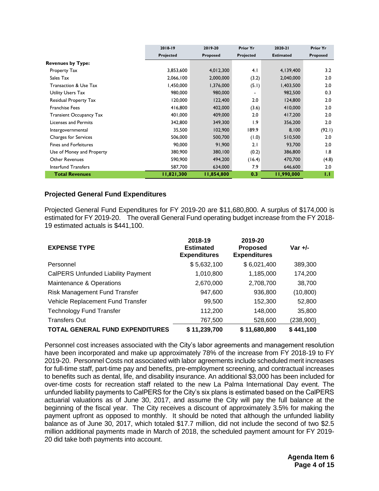|                                | 2018-19    | 2019-20    | <b>Prior Yr</b> | 2020-21          | <b>Prior Yr</b> |
|--------------------------------|------------|------------|-----------------|------------------|-----------------|
|                                | Projected  | Proposed   | Projected       | <b>Estimated</b> | Proposed        |
| <b>Revenues by Type:</b>       |            |            |                 |                  |                 |
| Property Tax                   | 3,853,600  | 4,012,300  | 4.1             | 4,139,400        | 3.2             |
| Sales Tax                      | 2,066,100  | 2,000,000  | (3.2)           | 2,040,000        | 2.0             |
| Transaction & Use Tax          | 1,450,000  | 1,376,000  | (5.1)           | 1,403,500        | 2.0             |
| Utility Users Tax              | 980,000    | 980,000    | $\blacksquare$  | 982,500          | 0.3             |
| Residual Property Tax          | 120,000    | 122,400    | 2.0             | 124,800          | 2.0             |
| <b>Franchise Fees</b>          | 416,800    | 402,000    | (3.6)           | 410,000          | 2.0             |
| <b>Transient Occupancy Tax</b> | 401,000    | 409,000    | 2.0             | 417,200          | 2.0             |
| Licenses and Permits           | 342,800    | 349,300    | 1.9             | 356,200          | 2.0             |
| Intergovernmental              | 35,500     | 102,900    | 189.9           | 8,100            | (92.1)          |
| <b>Charges for Services</b>    | 506,000    | 500,700    | (1.0)           | 510,500          | 2.0             |
| <b>Fines and Forfeitures</b>   | 90.000     | 91,900     | 2.1             | 93,700           | 2.0             |
| Use of Money and Property      | 380,900    | 380,100    | (0.2)           | 386,800          | 1.8             |
| <b>Other Revenues</b>          | 590,900    | 494,200    | (16.4)          | 470,700          | (4.8)           |
| Interfund Transfers            | 587,700    | 634,000    | 7.9             | 646,600          | 2.0             |
| <b>Total Revenues</b>          | 11,821,300 | 11,854,800 | 0.3             | 11,990,000       | IJ              |

# **Projected General Fund Expenditures**

Projected General Fund Expenditures for FY 2019-20 are \$11,680,800. A surplus of \$174,000 is estimated for FY 2019-20. The overall General Fund operating budget increase from the FY 2018- 19 estimated actuals is \$441,100.

| <b>EXPENSE TYPE</b>                       | 2018-19<br><b>Estimated</b><br><b>Expenditures</b> | 2019-20<br><b>Proposed</b><br><b>Expenditures</b> | Var $+/-$  |
|-------------------------------------------|----------------------------------------------------|---------------------------------------------------|------------|
| Personnel                                 | \$5,632,100                                        | \$6,021,400                                       | 389,300    |
| <b>CalPERS Unfunded Liability Payment</b> | 1,010,800                                          | 1,185,000                                         | 174,200    |
| Maintenance & Operations                  | 2,670,000                                          | 2,708,700                                         | 38,700     |
| Risk Management Fund Transfer             | 947,600                                            | 936,800                                           | (10, 800)  |
| Vehicle Replacement Fund Transfer         | 99,500                                             | 152,300                                           | 52,800     |
| <b>Technology Fund Transfer</b>           | 112,200                                            | 148,000                                           | 35,800     |
| <b>Transfers Out</b>                      | 767,500                                            | 528,600                                           | (238, 900) |
| <b>TOTAL GENERAL FUND EXPENDITURES</b>    | \$11,239,700                                       | \$11,680,800                                      | \$441,100  |

Personnel cost increases associated with the City's labor agreements and management resolution have been incorporated and make up approximately 78% of the increase from FY 2018-19 to FY 2019-20. Personnel Costs not associated with labor agreements include scheduled merit increases for full-time staff, part-time pay and benefits, pre-employment screening, and contractual increases to benefits such as dental, life, and disability insurance. An additional \$3,000 has been included for over-time costs for recreation staff related to the new La Palma International Day event. The unfunded liability payments to CalPERS for the City's six plans is estimated based on the CalPERS actuarial valuations as of June 30, 2017, and assume the City will pay the full balance at the beginning of the fiscal year. The City receives a discount of approximately 3.5% for making the payment upfront as opposed to monthly. It should be noted that although the unfunded liability balance as of June 30, 2017, which totaled \$17.7 million, did not include the second of two \$2.5 million additional payments made in March of 2018, the scheduled payment amount for FY 2019- 20 did take both payments into account.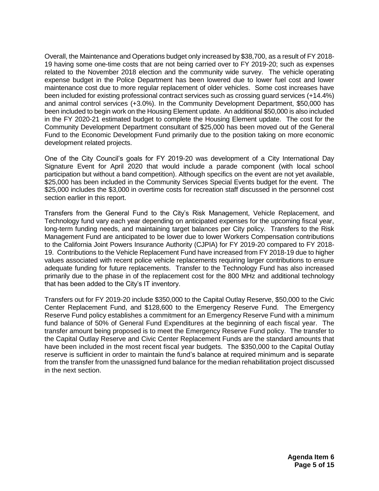Overall, the Maintenance and Operations budget only increased by \$38,700, as a result of FY 2018- 19 having some one-time costs that are not being carried over to FY 2019-20; such as expenses related to the November 2018 election and the community wide survey. The vehicle operating expense budget in the Police Department has been lowered due to lower fuel cost and lower maintenance cost due to more regular replacement of older vehicles. Some cost increases have been included for existing professional contract services such as crossing guard services (+14.4%) and animal control services (+3.0%). In the Community Development Department, \$50,000 has been included to begin work on the Housing Element update. An additional \$50,000 is also included in the FY 2020-21 estimated budget to complete the Housing Element update. The cost for the Community Development Department consultant of \$25,000 has been moved out of the General Fund to the Economic Development Fund primarily due to the position taking on more economic development related projects.

One of the City Council's goals for FY 2019-20 was development of a City International Day Signature Event for April 2020 that would include a parade component (with local school participation but without a band competition). Although specifics on the event are not yet available, \$25,000 has been included in the Community Services Special Events budget for the event. The \$25,000 includes the \$3,000 in overtime costs for recreation staff discussed in the personnel cost section earlier in this report.

Transfers from the General Fund to the City's Risk Management, Vehicle Replacement, and Technology fund vary each year depending on anticipated expenses for the upcoming fiscal year, long-term funding needs, and maintaining target balances per City policy. Transfers to the Risk Management Fund are anticipated to be lower due to lower Workers Compensation contributions to the California Joint Powers Insurance Authority (CJPIA) for FY 2019-20 compared to FY 2018- 19. Contributions to the Vehicle Replacement Fund have increased from FY 2018-19 due to higher values associated with recent police vehicle replacements requiring larger contributions to ensure adequate funding for future replacements. Transfer to the Technology Fund has also increased primarily due to the phase in of the replacement cost for the 800 MHz and additional technology that has been added to the City's IT inventory.

Transfers out for FY 2019-20 include \$350,000 to the Capital Outlay Reserve, \$50,000 to the Civic Center Replacement Fund, and \$128,600 to the Emergency Reserve Fund. The Emergency Reserve Fund policy establishes a commitment for an Emergency Reserve Fund with a minimum fund balance of 50% of General Fund Expenditures at the beginning of each fiscal year. The transfer amount being proposed is to meet the Emergency Reserve Fund policy. The transfer to the Capital Outlay Reserve and Civic Center Replacement Funds are the standard amounts that have been included in the most recent fiscal year budgets. The \$350,000 to the Capital Outlay reserve is sufficient in order to maintain the fund's balance at required minimum and is separate from the transfer from the unassigned fund balance for the median rehabilitation project discussed in the next section.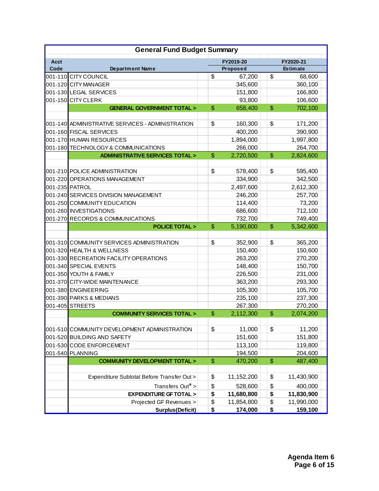| <b>General Fund Budget Summary</b> |                                                  |               |            |           |                 |  |
|------------------------------------|--------------------------------------------------|---------------|------------|-----------|-----------------|--|
| <b>Acct</b>                        |                                                  |               | FY2019-20  | FY2020-21 |                 |  |
| Code                               | <b>Department Name</b>                           |               | Proposed   |           | <b>Estimate</b> |  |
|                                    | 001-110 CITY COUNCIL                             | \$            | 67,200     | \$        | 68,600          |  |
|                                    | 001-120 CITY MANAGER                             |               | 345,600    |           | 360,100         |  |
|                                    | 001-130 LEGAL SERVICES                           |               | 151,800    |           | 166,800         |  |
|                                    | 001-150 CITY CLERK                               |               | 93,800     |           | 106,600         |  |
|                                    | <b>GENERAL GOVERNMENT TOTAL &gt;</b>             | \$            | 658,400    | \$        | 702,100         |  |
|                                    |                                                  |               |            |           |                 |  |
|                                    | 001-140 ADMINISTRATIVE SERVICES - ADMINISTRATION | \$            | 160,300    | \$        | 171,200         |  |
|                                    | 001-160 FISCAL SERVICES                          |               | 400,200    |           | 390,900         |  |
|                                    | 001-170 HUMAN RESOURCES                          |               | 1,894,000  |           | 1,997,800       |  |
|                                    | 001-180 TECHNOLOGY & COMMUNICATIONS              |               | 266,000    |           | 264,700         |  |
|                                    | <b>ADMINISTRATIVE SERVICES TOTAL &gt;</b>        | \$            | 2,720,500  | \$        | 2,824,600       |  |
|                                    |                                                  |               |            |           |                 |  |
|                                    | 001-210 POLICE ADMINISTRATION                    | \$            | 578,400    | \$        | 595,400         |  |
|                                    | 001-220 OPERATIONS MANAGEMENT                    |               | 334,900    |           | 342,500         |  |
|                                    | 001-235 PATROL                                   |               | 2,497,600  |           | 2,612,300       |  |
|                                    | 001-240 SERVICES DIVISION MANAGEMENT             |               | 246,200    |           | 257,700         |  |
|                                    | 001-250 COMMUNITY EDUCATION                      |               | 114,400    |           | 73,200          |  |
|                                    | 001-260 INVESTIGATIONS                           |               | 686,600    |           | 712,100         |  |
|                                    | 001-270 RECORDS & COMMUNICATIONS                 |               | 732,700    |           | 749,400         |  |
|                                    | <b>POLICE TOTAL &gt;</b>                         | \$            | 5,190,800  | \$        | 5,342,600       |  |
|                                    |                                                  |               |            |           |                 |  |
|                                    | 001-310 COMMUNITY SERVICES ADMINISTRATION        | \$            | 352,900    | \$        | 365,200         |  |
|                                    | 001-320 HEALTH & WELLNESS                        |               | 150,400    |           | 150,600         |  |
|                                    | 001-330 RECREATION FACILITY OPERATIONS           |               | 263,200    |           | 270,200         |  |
|                                    | 001-340 SPECIAL EVENTS                           |               | 148,400    |           | 150,700         |  |
|                                    | 001-350 YOUTH & FAMILY                           |               | 226,500    |           | 231,000         |  |
|                                    | 001-370 CITY-WIDE MAINTENANCE                    |               | 363,200    |           | 293,300         |  |
|                                    | 001-380 ENGINEERING                              |               | 105,300    |           | 105,700         |  |
|                                    | 001-390 PARKS & MEDIANS                          |               | 235,100    |           | 237,300         |  |
|                                    | 001-405 STREETS                                  |               | 267,300    |           | 270,200         |  |
|                                    | <b>COMMUNITY SERVICES TOTAL &gt;</b>             | \$            | 2,112,300  | \$        | 2,074,200       |  |
|                                    |                                                  |               |            |           |                 |  |
|                                    | 001-510 COMMUNITY DEVELOPMENT ADMINISTRATION     | \$            | 11,000     | \$        | 11,200          |  |
|                                    | 001-520 BUILDING AND SAFETY                      |               | 151,600    |           | 151,800         |  |
|                                    | 001-530 CODE ENFORCEMENT                         |               | 113,100    |           | 119,800         |  |
|                                    | 001-540 PLANNING                                 |               | 194,500    |           | 204,600         |  |
|                                    | <b>COMMUNITY DEVELOPMENT TOTAL &gt;</b>          | $\frac{2}{3}$ | 470,200    | \$        | 487,400         |  |
|                                    |                                                  |               |            |           |                 |  |
|                                    | Expenditure Subtotal Before Transfer Out >       | \$            | 11,152,200 | \$        | 11,430,900      |  |
|                                    | Transfers Out <sup>*</sup> >                     | \$            | 528,600    | \$        | 400,000         |  |
|                                    | <b>EXPENDITURE GF TOTAL &gt;</b>                 | \$            | 11,680,800 | \$        | 11,830,900      |  |
|                                    | Projected GF Revenues >                          | \$            | 11,854,800 | \$        | 11,990,000      |  |
|                                    | Surplus(Deficit)                                 | \$            | 174,000    | \$        | 159,100         |  |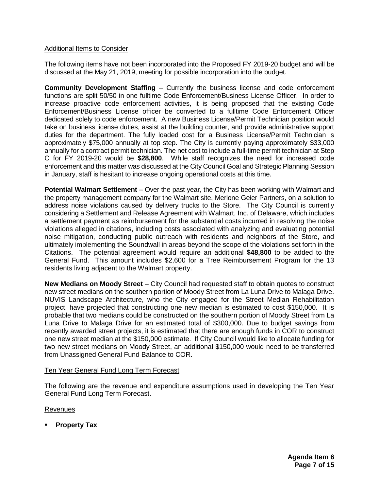#### Additional Items to Consider

The following items have not been incorporated into the Proposed FY 2019-20 budget and will be discussed at the May 21, 2019, meeting for possible incorporation into the budget.

**Community Development Staffing** – Currently the business license and code enforcement functions are split 50/50 in one fulltime Code Enforcement/Business License Officer. In order to increase proactive code enforcement activities, it is being proposed that the existing Code Enforcement/Business License officer be converted to a fulltime Code Enforcement Officer dedicated solely to code enforcement. A new Business License/Permit Technician position would take on business license duties, assist at the building counter, and provide administrative support duties for the department. The fully loaded cost for a Business License/Permit Technician is approximately \$75,000 annually at top step. The City is currently paying approximately \$33,000 annually for a contract permit technician. The net cost to include a full-time permit technician at Step C for FY 2019-20 would be **\$28,800**. While staff recognizes the need for increased code enforcement and this matter was discussed at the City Council Goal and Strategic Planning Session in January, staff is hesitant to increase ongoing operational costs at this time.

**Potential Walmart Settlement** – Over the past year, the City has been working with Walmart and the property management company for the Walmart site, Merlone Geier Partners, on a solution to address noise violations caused by delivery trucks to the Store. The City Council is currently considering a Settlement and Release Agreement with Walmart, Inc. of Delaware, which includes a settlement payment as reimbursement for the substantial costs incurred in resolving the noise violations alleged in citations, including costs associated with analyzing and evaluating potential noise mitigation, conducting public outreach with residents and neighbors of the Store, and ultimately implementing the Soundwall in areas beyond the scope of the violations set forth in the Citations. The potential agreement would require an additional **\$48,800** to be added to the General Fund. This amount includes \$2,600 for a Tree Reimbursement Program for the 13 residents living adjacent to the Walmart property.

**New Medians on Moody Street** – City Council had requested staff to obtain quotes to construct new street medians on the southern portion of Moody Street from La Luna Drive to Malaga Drive. NUVIS Landscape Architecture, who the City engaged for the Street Median Rehabilitation project, have projected that constructing one new median is estimated to cost \$150,000. It is probable that two medians could be constructed on the southern portion of Moody Street from La Luna Drive to Malaga Drive for an estimated total of \$300,000. Due to budget savings from recently awarded street projects, it is estimated that there are enough funds in COR to construct one new street median at the \$150,000 estimate. If City Council would like to allocate funding for two new street medians on Moody Street, an additional \$150,000 would need to be transferred from Unassigned General Fund Balance to COR.

#### Ten Year General Fund Long Term Forecast

The following are the revenue and expenditure assumptions used in developing the Ten Year General Fund Long Term Forecast.

#### Revenues

**Property Tax**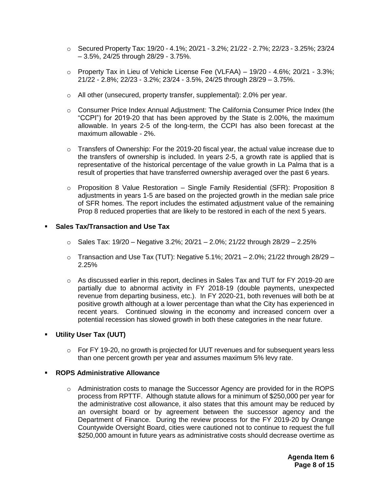- $\circ$  Secured Property Tax: 19/20 4.1%; 20/21 3.2%; 21/22 2.7%; 22/23 3.25%; 23/24 – 3.5%, 24/25 through 28/29 - 3.75%.
- $\circ$  Property Tax in Lieu of Vehicle License Fee (VLFAA) 19/20 4.6%; 20/21 3.3%; 21/22 - 2.8%; 22/23 - 3.2%; 23/24 - 3.5%, 24/25 through 28/29 – 3.75%.
- $\circ$  All other (unsecured, property transfer, supplemental): 2.0% per year.
- o Consumer Price Index Annual Adjustment: The California Consumer Price Index (the "CCPI") for 2019-20 that has been approved by the State is 2.00%, the maximum allowable. In years 2-5 of the long-term, the CCPI has also been forecast at the maximum allowable - 2%.
- $\circ$  Transfers of Ownership: For the 2019-20 fiscal year, the actual value increase due to the transfers of ownership is included. In years 2-5, a growth rate is applied that is representative of the historical percentage of the value growth in La Palma that is a result of properties that have transferred ownership averaged over the past 6 years.
- $\circ$  Proposition 8 Value Restoration Single Family Residential (SFR): Proposition 8 adjustments in years 1-5 are based on the projected growth in the median sale price of SFR homes. The report includes the estimated adjustment value of the remaining Prop 8 reduced properties that are likely to be restored in each of the next 5 years.

#### **Sales Tax/Transaction and Use Tax**

- $\circ$  Sales Tax: 19/20 Negative 3.2%; 20/21 2.0%; 21/22 through 28/29 2.25%
- $\circ$  Transaction and Use Tax (TUT): Negative 5.1%; 20/21 2.0%; 21/22 through 28/29 2.25%
- $\circ$  As discussed earlier in this report, declines in Sales Tax and TUT for FY 2019-20 are partially due to abnormal activity in FY 2018-19 (double payments, unexpected revenue from departing business, etc.). In FY 2020-21, both revenues will both be at positive growth although at a lower percentage than what the City has experienced in recent years. Continued slowing in the economy and increased concern over a potential recession has slowed growth in both these categories in the near future.

#### **Utility User Tax (UUT)**

 $\circ$  For FY 19-20, no growth is projected for UUT revenues and for subsequent years less than one percent growth per year and assumes maximum 5% levy rate.

#### **ROPS Administrative Allowance**

o Administration costs to manage the Successor Agency are provided for in the ROPS process from RPTTF. Although statute allows for a minimum of \$250,000 per year for the administrative cost allowance, it also states that this amount may be reduced by an oversight board or by agreement between the successor agency and the Department of Finance. During the review process for the FY 2019-20 by Orange Countywide Oversight Board, cities were cautioned not to continue to request the full \$250,000 amount in future years as administrative costs should decrease overtime as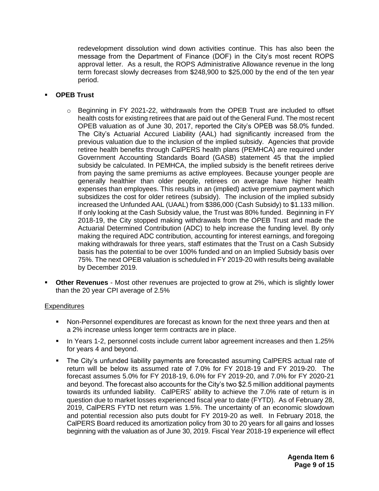redevelopment dissolution wind down activities continue. This has also been the message from the Department of Finance (DOF) in the City's most recent ROPS approval letter. As a result, the ROPS Administrative Allowance revenue in the long term forecast slowly decreases from \$248,900 to \$25,000 by the end of the ten year period.

# **OPEB Trust**

- $\circ$  Beginning in FY 2021-22, withdrawals from the OPEB Trust are included to offset health costs for existing retirees that are paid out of the General Fund. The most recent OPEB valuation as of June 30, 2017, reported the City's OPEB was 58.0% funded. The City's Actuarial Accured Liability (AAL) had significantly increased from the previous valuation due to the inclusion of the implied subsidy. Agencies that provide retiree health benefits through CalPERS health plans (PEMHCA) are required under Government Accounting Standards Board (GASB) statement 45 that the implied subsidy be calculated. In PEMHCA, the implied subsidy is the benefit retirees derive from paying the same premiums as active employees. Because younger people are generally healthier than older people, retirees on average have higher health expenses than employees. This results in an (implied) active premium payment which subsidizes the cost for older retirees (subsidy). The inclusion of the implied subsidy increased the Unfunded AAL (UAAL) from \$386,000 (Cash Subsidy) to \$1.133 million. If only looking at the Cash Subsidy value, the Trust was 80% funded. Beginning in FY 2018-19, the City stopped making withdrawals from the OPEB Trust and made the Actuarial Determined Contribution (ADC) to help increase the funding level. By only making the required ADC contribution, accounting for interest earnings, and foregoing making withdrawals for three years, staff estimates that the Trust on a Cash Subsidy basis has the potential to be over 100% funded and on an Implied Subsidy basis over 75%. The next OPEB valuation is scheduled in FY 2019-20 with results being available by December 2019.
- **Other Revenues** Most other revenues are projected to grow at 2%, which is slightly lower than the 20 year CPI average of 2.5%

#### **Expenditures**

- Non-Personnel expenditures are forecast as known for the next three years and then at a 2% increase unless longer term contracts are in place.
- In Years 1-2, personnel costs include current labor agreement increases and then 1.25% for years 4 and beyond.
- The City's unfunded liability payments are forecasted assuming CalPERS actual rate of return will be below its assumed rate of 7.0% for FY 2018-19 and FY 2019-20. The forecast assumes 5.0% for FY 2018-19, 6.0% for FY 2019-20, and 7.0% for FY 2020-21 and beyond. The forecast also accounts for the City's two \$2.5 million additional payments towards its unfunded liability. CalPERS' ability to achieve the 7.0% rate of return is in question due to market losses experienced fiscal year to date (FYTD). As of February 28, 2019, CalPERS FYTD net return was 1.5%. The uncertainty of an economic slowdown and potential recession also puts doubt for FY 2019-20 as well. In February 2018, the CalPERS Board reduced its amortization policy from 30 to 20 years for all gains and losses beginning with the valuation as of June 30, 2019. Fiscal Year 2018-19 experience will effect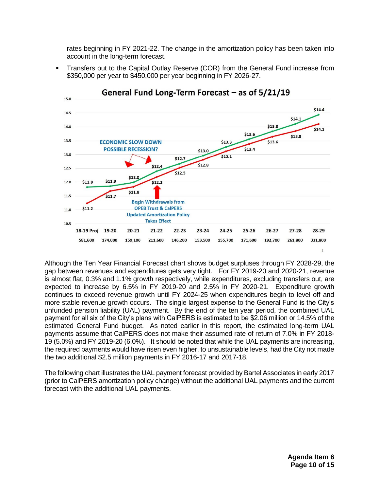rates beginning in FY 2021-22. The change in the amortization policy has been taken into account in the long-term forecast.





General Fund Long-Term Forecast – as of 5/21/19

Although the Ten Year Financial Forecast chart shows budget surpluses through FY 2028-29, the gap between revenues and expenditures gets very tight. For FY 2019-20 and 2020-21, revenue is almost flat, 0.3% and 1.1% growth respectively, while expenditures, excluding transfers out, are expected to increase by 6.5% in FY 2019-20 and 2.5% in FY 2020-21. Expenditure growth continues to exceed revenue growth until FY 2024-25 when expenditures begin to level off and more stable revenue growth occurs. The single largest expense to the General Fund is the City's unfunded pension liability (UAL) payment. By the end of the ten year period, the combined UAL payment for all six of the City's plans with CalPERS is estimated to be \$2.06 million or 14.5% of the estimated General Fund budget. As noted earlier in this report, the estimated long-term UAL payments assume that CalPERS does not make their assumed rate of return of 7.0% in FY 2018- 19 (5.0%) and FY 2019-20 (6.0%). It should be noted that while the UAL payments are increasing, the required payments would have risen even higher, to unsustainable levels, had the City not made the two additional \$2.5 million payments in FY 2016-17 and 2017-18.

The following chart illustrates the UAL payment forecast provided by Bartel Associates in early 2017 (prior to CalPERS amortization policy change) without the additional UAL payments and the current forecast with the additional UAL payments.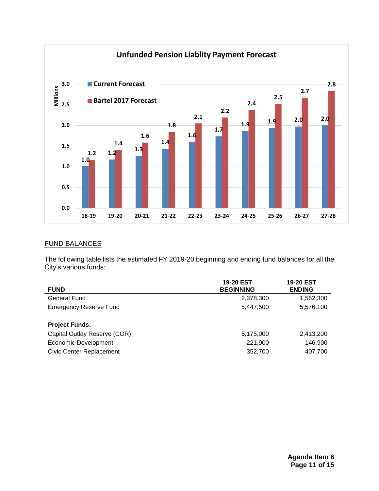

# FUND BALANCES

The following table lists the estimated FY 2019-20 beginning and ending fund balances for all the City's various funds:

| <b>FUND</b>                     | <b>19-20 EST</b><br><b>BEGINNING</b> | <b>19-20 EST</b><br><b>ENDING</b> |
|---------------------------------|--------------------------------------|-----------------------------------|
| General Fund                    | 2,378,300                            | 1,562,300                         |
| <b>Emergency Reserve Fund</b>   | 5.447.500                            | 5,576,100                         |
| <b>Project Funds:</b>           |                                      |                                   |
| Capital Outlay Reserve (COR)    | 5,175,000                            | 2,413,200                         |
| <b>Economic Development</b>     | 221,900                              | 146.900                           |
| <b>Civic Center Replacement</b> | 352,700                              | 407,700                           |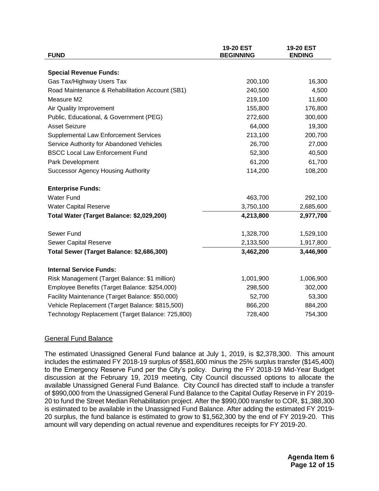| <b>FUND</b>                                      | 19-20 EST<br><b>BEGINNING</b> | 19-20 EST<br><b>ENDING</b> |
|--------------------------------------------------|-------------------------------|----------------------------|
|                                                  |                               |                            |
| <b>Special Revenue Funds:</b>                    |                               |                            |
| Gas Tax/Highway Users Tax                        | 200,100                       | 16,300                     |
| Road Maintenance & Rehabilitation Account (SB1)  | 240,500                       | 4,500                      |
| Measure M2                                       | 219,100                       | 11,600                     |
| Air Quality Improvement                          | 155,800                       | 176,800                    |
| Public, Educational, & Government (PEG)          | 272,600                       | 300,600                    |
| <b>Asset Seizure</b>                             | 64,000                        | 19,300                     |
| <b>Supplemental Law Enforcement Services</b>     | 213,100                       | 200,700                    |
| Service Authority for Abandoned Vehicles         | 26,700                        | 27,000                     |
| <b>BSCC Local Law Enforcement Fund</b>           | 52,300                        | 40,500                     |
| Park Development                                 | 61,200                        | 61,700                     |
| <b>Successor Agency Housing Authority</b>        | 114,200                       | 108,200                    |
| <b>Enterprise Funds:</b>                         |                               |                            |
| <b>Water Fund</b>                                | 463,700                       | 292,100                    |
| <b>Water Capital Reserve</b>                     | 3,750,100                     | 2,685,600                  |
| Total Water (Target Balance: \$2,029,200)        | 4,213,800                     | 2,977,700                  |
| Sewer Fund                                       | 1,328,700                     | 1,529,100                  |
| <b>Sewer Capital Reserve</b>                     | 2,133,500                     | 1,917,800                  |
| Total Sewer (Target Balance: \$2,686,300)        | 3,462,200                     | 3,446,900                  |
| <b>Internal Service Funds:</b>                   |                               |                            |
| Risk Management (Target Balance: \$1 million)    | 1,001,900                     | 1,006,900                  |
| Employee Benefits (Target Balance: \$254,000)    | 298,500                       | 302,000                    |
| Facility Maintenance (Target Balance: \$50,000)  | 52,700                        | 53,300                     |
| Vehicle Replacement (Target Balance: \$815,500)  | 866,200                       | 884,200                    |
| Technology Replacement (Target Balance: 725,800) | 728,400                       | 754,300                    |

#### General Fund Balance

The estimated Unassigned General Fund balance at July 1, 2019, is \$2,378,300. This amount includes the estimated FY 2018-19 surplus of \$581,600 minus the 25% surplus transfer (\$145,400) to the Emergency Reserve Fund per the City's policy. During the FY 2018-19 Mid-Year Budget discussion at the February 19, 2019 meeting, City Council discussed options to allocate the available Unassigned General Fund Balance. City Council has directed staff to include a transfer of \$990,000 from the Unassigned General Fund Balance to the Capital Outlay Reserve in FY 2019- 20 to fund the Street Median Rehabilitation project. After the \$990,000 transfer to COR, \$1,388,300 is estimated to be available in the Unassigned Fund Balance. After adding the estimated FY 2019- 20 surplus, the fund balance is estimated to grow to \$1,562,300 by the end of FY 2019-20. This amount will vary depending on actual revenue and expenditures receipts for FY 2019-20.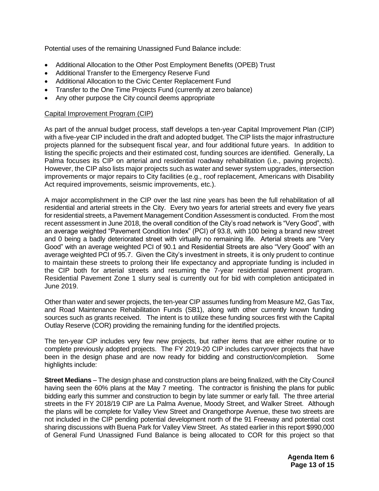Potential uses of the remaining Unassigned Fund Balance include:

- Additional Allocation to the Other Post Employment Benefits (OPEB) Trust
- Additional Transfer to the Emergency Reserve Fund
- Additional Allocation to the Civic Center Replacement Fund
- Transfer to the One Time Projects Fund (currently at zero balance)
- Any other purpose the City council deems appropriate

#### Capital Improvement Program (CIP)

As part of the annual budget process, staff develops a ten-year Capital Improvement Plan (CIP) with a five-year CIP included in the draft and adopted budget. The CIP lists the major infrastructure projects planned for the subsequent fiscal year, and four additional future years. In addition to listing the specific projects and their estimated cost, funding sources are identified. Generally, La Palma focuses its CIP on arterial and residential roadway rehabilitation (i.e., paving projects). However, the CIP also lists major projects such as water and sewer system upgrades, intersection improvements or major repairs to City facilities (e.g., roof replacement, Americans with Disability Act required improvements, seismic improvements, etc.).

A major accomplishment in the CIP over the last nine years has been the full rehabilitation of all residential and arterial streets in the City. Every two years for arterial streets and every five years for residential streets, a Pavement Management Condition Assessment is conducted. From the most recent assessment in June 2018, the overall condition of the City's road network is "Very Good", with an average weighted "Pavement Condition Index" (PCI) of 93.8, with 100 being a brand new street and 0 being a badly deteriorated street with virtually no remaining life. Arterial streets are "Very Good" with an average weighted PCI of 90.1 and Residential Streets are also "Very Good" with an average weighted PCI of 95.7. Given the City's investment in streets, it is only prudent to continue to maintain these streets to prolong their life expectancy and appropriate funding is included in the CIP both for arterial streets and resuming the 7-year residential pavement program. Residential Pavement Zone 1 slurry seal is currently out for bid with completion anticipated in June 2019.

Other than water and sewer projects, the ten-year CIP assumes funding from Measure M2, Gas Tax, and Road Maintenance Rehabilitation Funds (SB1), along with other currently known funding sources such as grants received. The intent is to utilize these funding sources first with the Capital Outlay Reserve (COR) providing the remaining funding for the identified projects.

The ten-year CIP includes very few new projects, but rather items that are either routine or to complete previously adopted projects. The FY 2019-20 CIP includes carryover projects that have been in the design phase and are now ready for bidding and construction/completion. Some highlights include:

**Street Medians** – The design phase and construction plans are being finalized, with the City Council having seen the 60% plans at the May 7 meeting. The contractor is finishing the plans for public bidding early this summer and construction to begin by late summer or early fall. The three arterial streets in the FY 2018/19 CIP are La Palma Avenue, Moody Street, and Walker Street. Although the plans will be complete for Valley View Street and Orangethorpe Avenue, these two streets are not included in the CIP pending potential development north of the 91 Freeway and potential cost sharing discussions with Buena Park for Valley View Street. As stated earlier in this report \$990,000 of General Fund Unassigned Fund Balance is being allocated to COR for this project so that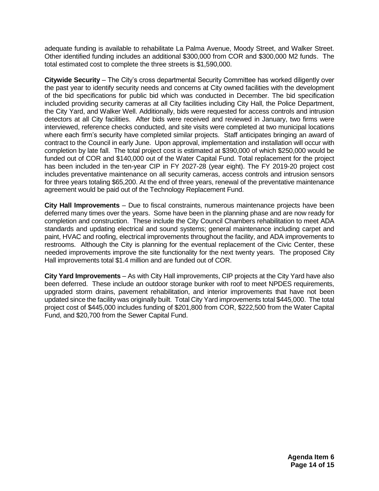adequate funding is available to rehabilitate La Palma Avenue, Moody Street, and Walker Street. Other identified funding includes an additional \$300,000 from COR and \$300,000 M2 funds. The total estimated cost to complete the three streets is \$1,590,000.

**Citywide Security** – The City's cross departmental Security Committee has worked diligently over the past year to identify security needs and concerns at City owned facilities with the development of the bid specifications for public bid which was conducted in December. The bid specification included providing security cameras at all City facilities including City Hall, the Police Department, the City Yard, and Walker Well. Additionally, bids were requested for access controls and intrusion detectors at all City facilities. After bids were received and reviewed in January, two firms were interviewed, reference checks conducted, and site visits were completed at two municipal locations where each firm's security have completed similar projects. Staff anticipates bringing an award of contract to the Council in early June. Upon approval, implementation and installation will occur with completion by late fall. The total project cost is estimated at \$390,000 of which \$250,000 would be funded out of COR and \$140,000 out of the Water Capital Fund. Total replacement for the project has been included in the ten-year CIP in FY 2027-28 (year eight). The FY 2019-20 project cost includes preventative maintenance on all security cameras, access controls and intrusion sensors for three years totaling \$65,200. At the end of three years, renewal of the preventative maintenance agreement would be paid out of the Technology Replacement Fund.

**City Hall Improvements** – Due to fiscal constraints, numerous maintenance projects have been deferred many times over the years. Some have been in the planning phase and are now ready for completion and construction. These include the City Council Chambers rehabilitation to meet ADA standards and updating electrical and sound systems; general maintenance including carpet and paint, HVAC and roofing, electrical improvements throughout the facility, and ADA improvements to restrooms. Although the City is planning for the eventual replacement of the Civic Center, these needed improvements improve the site functionality for the next twenty years. The proposed City Hall improvements total \$1.4 million and are funded out of COR.

**City Yard Improvements** – As with City Hall improvements, CIP projects at the City Yard have also been deferred. These include an outdoor storage bunker with roof to meet NPDES requirements, upgraded storm drains, pavement rehabilitation, and interior improvements that have not been updated since the facility was originally built. Total City Yard improvements total \$445,000. The total project cost of \$445,000 includes funding of \$201,800 from COR, \$222,500 from the Water Capital Fund, and \$20,700 from the Sewer Capital Fund.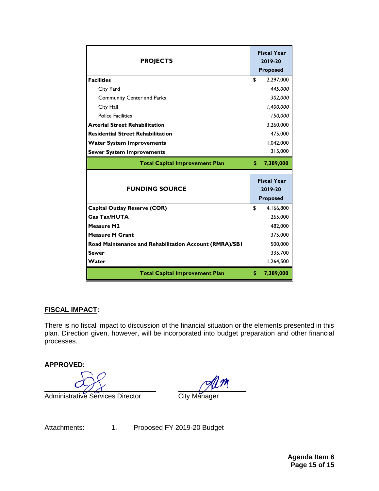| <b>PROJECTS</b>                                        |                                                  | <b>Fiscal Year</b><br>2019-20<br><b>Proposed</b> |
|--------------------------------------------------------|--------------------------------------------------|--------------------------------------------------|
| <b>Facilities</b>                                      | \$                                               |                                                  |
|                                                        |                                                  | 2,297,000                                        |
| City Yard                                              |                                                  | 445,000                                          |
| <b>Community Center and Parks</b>                      |                                                  | 302,000                                          |
| City Hall                                              |                                                  | 1,400,000                                        |
| <b>Police Facilities</b>                               |                                                  | 150,000                                          |
| <b>Arterial Street Rehabilitation</b>                  |                                                  | 3,260,000                                        |
| <b>Residential Street Rehabilitation</b>               |                                                  | 475,000                                          |
| <b>Water System Improvements</b>                       |                                                  | 1,042,000                                        |
| <b>Sewer System Improvements</b>                       |                                                  | 315,000                                          |
| <b>Total Capital Improvement Plan</b>                  | \$                                               | 7,389,000                                        |
| <b>FUNDING SOURCE</b>                                  | <b>Fiscal Year</b><br>2019-20<br><b>Proposed</b> |                                                  |
| <b>Capital Outlay Reserve (COR)</b>                    | \$                                               | 4,166,800                                        |
| <b>Gas Tax/HUTA</b>                                    |                                                  | 265,000                                          |
| <b>Measure M2</b>                                      |                                                  | 482,000                                          |
| <b>Measure M Grant</b>                                 |                                                  | 375,000                                          |
| Road Maintenance and Rehabilitation Account (RMRA)/SBI |                                                  | 500,000                                          |
| <b>Sewer</b>                                           |                                                  | 335,700                                          |
| Water                                                  |                                                  | 1,264,500                                        |
| <b>Total Capital Improvement Plan</b>                  | \$                                               | 7,389,000                                        |

# **FISCAL IMPACT:**

There is no fiscal impact to discussion of the financial situation or the elements presented in this plan. Direction given, however, will be incorporated into budget preparation and other financial processes.

**APPROVED:**

Administrative Services Director **City Manager** 

Attachments: 1. Proposed FY 2019-20 Budget